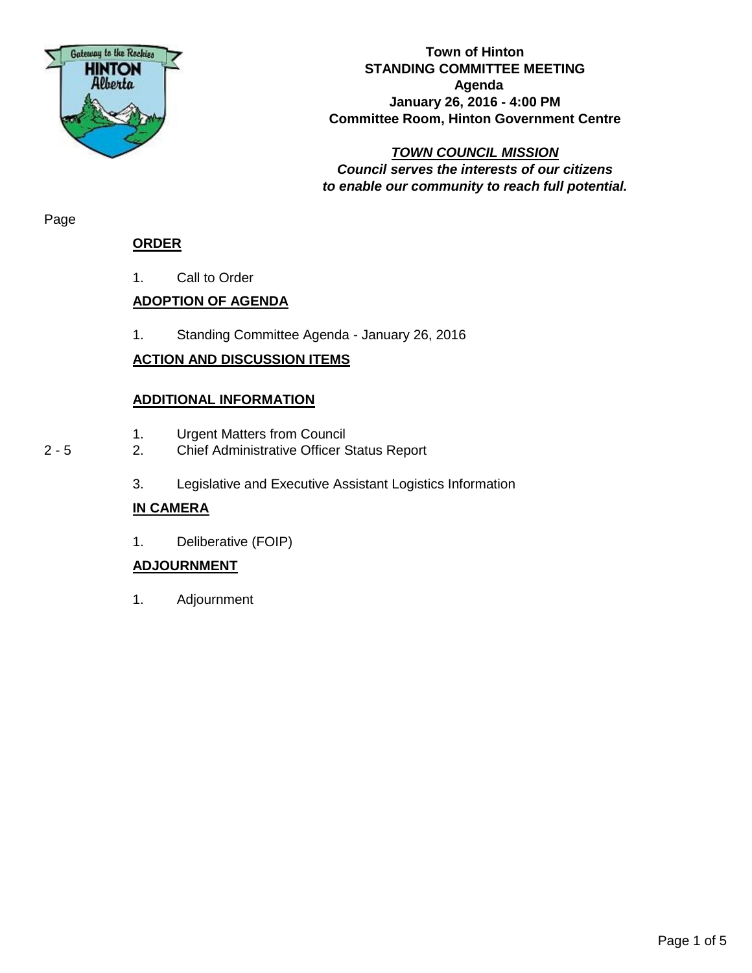

#### **Town of Hinton STANDING COMMITTEE MEETING Agenda January 26, 2016 - 4:00 PM Committee Room, Hinton Government Centre**

#### *TOWN COUNCIL MISSION Council serves the interests of our citizens to enable our community to reach full potential.*

Page

### **ORDER**

1. Call to Order

# **ADOPTION OF AGENDA**

1. Standing Committee Agenda - January 26, 2016

# **ACTION AND DISCUSSION ITEMS**

### **ADDITIONAL INFORMATION**

- 1. Urgent Matters from Council
- 2 5 2. Chief Administrative Officer Status Report
	- 3. Legislative and Executive Assistant Logistics Information

# **IN CAMERA**

1. Deliberative (FOIP)

# **ADJOURNMENT**

1. Adjournment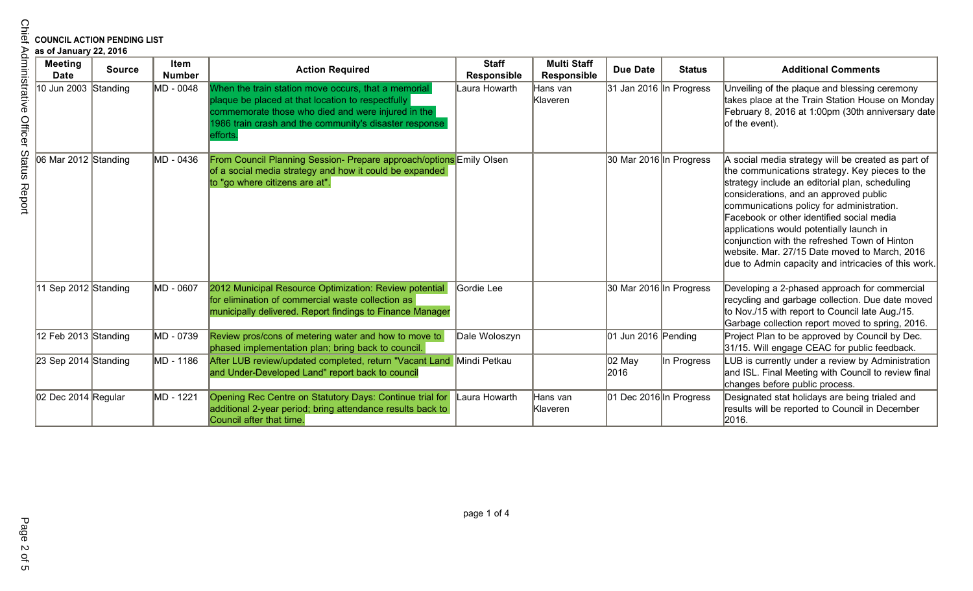# **COUNCIL ACTION PENDING LIST**

| <b>Meeting</b><br><b>Date</b> | <b>Source</b> | Item<br><b>Number</b> | <b>Action Required</b>                                                                                                                                                                                                               | <b>Staff</b><br><b>Responsible</b> | <b>Multi Staff</b><br><b>Responsible</b> | <b>Due Date</b>                 | <b>Status</b> | <b>Additional Comments</b>                                                                                                                                                                                                                                                                                                                                                                                                                                                                      |
|-------------------------------|---------------|-----------------------|--------------------------------------------------------------------------------------------------------------------------------------------------------------------------------------------------------------------------------------|------------------------------------|------------------------------------------|---------------------------------|---------------|-------------------------------------------------------------------------------------------------------------------------------------------------------------------------------------------------------------------------------------------------------------------------------------------------------------------------------------------------------------------------------------------------------------------------------------------------------------------------------------------------|
| 10 Jun 2003 Standing          |               | MD - 0048             | When the train station move occurs, that a memorial<br>plaque be placed at that location to respectfully<br>commemorate those who died and were injured in the<br>1986 train crash and the community's disaster response<br>efforts. | Laura Howarth                      | Hans van<br>Klaveren                     | 31 Jan 2016 In Progress         |               | Unveiling of the plaque and blessing ceremony<br>takes place at the Train Station House on Monday<br>February 8, 2016 at 1:00pm (30th anniversary date<br>of the event).                                                                                                                                                                                                                                                                                                                        |
| 06 Mar 2012 Standing          |               | MD - 0436             | From Council Planning Session- Prepare approach/options Emily Olsen<br>of a social media strategy and how it could be expanded<br>to "go where citizens are at".                                                                     |                                    |                                          | 30 Mar 2016 In Progress         |               | A social media strategy will be created as part of<br>the communications strategy. Key pieces to the<br>strategy include an editorial plan, scheduling<br>considerations, and an approved public<br>communications policy for administration.<br>Facebook or other identified social media<br>applications would potentially launch in<br>conjunction with the refreshed Town of Hinton<br>website. Mar. 27/15 Date moved to March, 2016<br>due to Admin capacity and intricacies of this work. |
| 11 Sep 2012 Standing          |               | MD - 0607             | 2012 Municipal Resource Optimization: Review potential<br>for elimination of commercial waste collection as<br>municipally delivered. Report findings to Finance Manager                                                             | Gordie Lee                         |                                          | 30 Mar 2016 In Progress         |               | Developing a 2-phased approach for commercial<br>recycling and garbage collection. Due date moved<br>to Nov./15 with report to Council late Aug./15.<br>Garbage collection report moved to spring, 2016.                                                                                                                                                                                                                                                                                        |
| 12 Feb 2013 Standing          |               | MD - 0739             | Review pros/cons of metering water and how to move to<br>phased implementation plan; bring back to council.                                                                                                                          | Dale Woloszyn                      |                                          | $ 01 \text{ Jun } 2016$ Pending |               | Project Plan to be approved by Council by Dec.<br>31/15. Will engage CEAC for public feedback.                                                                                                                                                                                                                                                                                                                                                                                                  |
| $\vert$ 23 Sep 2014 Standing  |               | MD - 1186             | After LUB review/updated completed, return "Vacant Land Mindi Petkau<br>and Under-Developed Land" report back to council                                                                                                             |                                    |                                          | 02 May<br>2016                  | In Progress   | LUB is currently under a review by Administration<br>and ISL. Final Meeting with Council to review final<br>changes before public process.                                                                                                                                                                                                                                                                                                                                                      |
| 02 Dec 2014 Regular           |               | MD - 1221             | Opening Rec Centre on Statutory Days: Continue trial for<br>additional 2-year period; bring attendance results back to<br>Council after that time.                                                                                   | Laura Howarth                      | Hans van<br>Klaveren                     | 01 Dec 2016 In Progress         |               | Designated stat holidays are being trialed and<br>results will be reported to Council in December<br>2016.                                                                                                                                                                                                                                                                                                                                                                                      |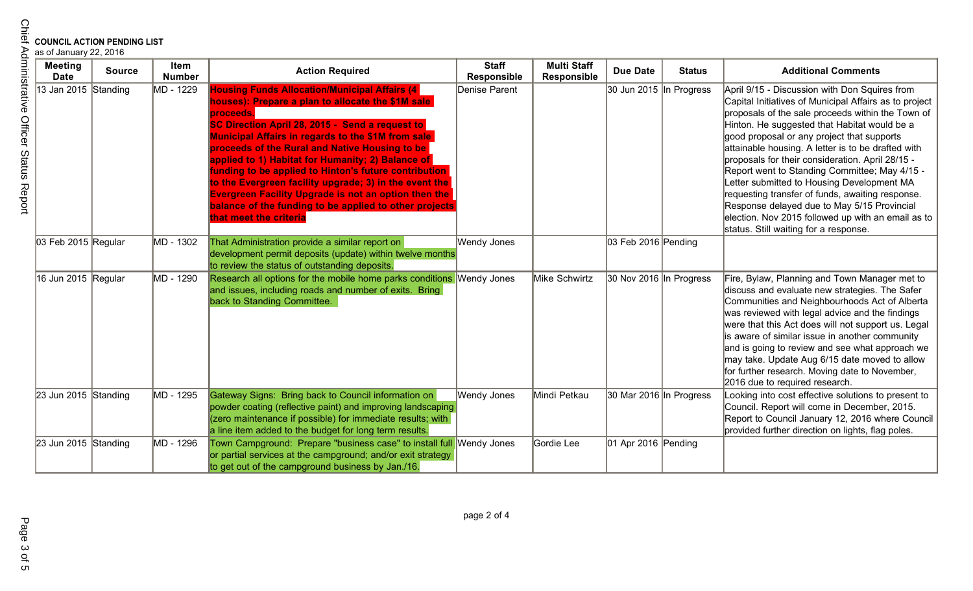| <b>COUNCIL ACTION PENDING LIST</b><br>as of January 22, 2016 |               |                       |                                                                                                                                                                                                                                                                                                                                                                                                                                                                                                                                                                                                                     |                             |                                          |                         |               |                                                                                                                                                                                                                                                                                                                                                                                                                                                                                                                                                                                                                                                                       |
|--------------------------------------------------------------|---------------|-----------------------|---------------------------------------------------------------------------------------------------------------------------------------------------------------------------------------------------------------------------------------------------------------------------------------------------------------------------------------------------------------------------------------------------------------------------------------------------------------------------------------------------------------------------------------------------------------------------------------------------------------------|-----------------------------|------------------------------------------|-------------------------|---------------|-----------------------------------------------------------------------------------------------------------------------------------------------------------------------------------------------------------------------------------------------------------------------------------------------------------------------------------------------------------------------------------------------------------------------------------------------------------------------------------------------------------------------------------------------------------------------------------------------------------------------------------------------------------------------|
| <b>Meeting</b><br><b>Date</b>                                | <b>Source</b> | Item<br><b>Number</b> | <b>Action Required</b>                                                                                                                                                                                                                                                                                                                                                                                                                                                                                                                                                                                              | <b>Staff</b><br>Responsible | <b>Multi Staff</b><br><b>Responsible</b> | <b>Due Date</b>         | <b>Status</b> | <b>Additional Comments</b>                                                                                                                                                                                                                                                                                                                                                                                                                                                                                                                                                                                                                                            |
| 13 Jan 2015 Standing                                         |               | MD - 1229             | <b>Housing Funds Allocation/Municipal Affairs (4</b><br>houses): Prepare a plan to allocate the \$1M sale<br>proceeds.<br>SC Direction April 28, 2015 - Send a request to<br><b>Municipal Affairs in regards to the \$1M from sale</b><br>proceeds of the Rural and Native Housing to be<br>applied to 1) Habitat for Humanity; 2) Balance of<br>funding to be applied to Hinton's future contribution<br>to the Evergreen facility upgrade; 3) in the event the<br><b>Evergreen Facility Upgrade is not an option then the</b><br>balance of the funding to be applied to other projects<br>that meet the criteria | Denise Parent               |                                          | 30 Jun 2015 In Progress |               | April 9/15 - Discussion with Don Squires from<br>Capital Initiatives of Municipal Affairs as to project<br>proposals of the sale proceeds within the Town of<br>Hinton. He suggested that Habitat would be a<br>good proposal or any project that supports<br>attainable housing. A letter is to be drafted with<br>proposals for their consideration. April 28/15 -<br>Report went to Standing Committee; May 4/15 -<br>Letter submitted to Housing Development MA<br>requesting transfer of funds, awaiting response.<br>Response delayed due to May 5/15 Provincial<br>election. Nov 2015 followed up with an email as to<br>status. Still waiting for a response. |
| 03 Feb 2015 Regular                                          |               | MD - 1302             | That Administration provide a similar report on<br>development permit deposits (update) within twelve months<br>to review the status of outstanding deposits.                                                                                                                                                                                                                                                                                                                                                                                                                                                       | Wendy Jones                 |                                          | 03 Feb 2016 Pending     |               |                                                                                                                                                                                                                                                                                                                                                                                                                                                                                                                                                                                                                                                                       |
| 16 Jun 2015 Regular                                          |               | MD - 1290             | Research all options for the mobile home parks conditions Wendy Jones<br>and issues, including roads and number of exits. Bring<br>back to Standing Committee.                                                                                                                                                                                                                                                                                                                                                                                                                                                      |                             | Mike Schwirtz                            | 30 Nov 2016 In Progress |               | Fire, Bylaw, Planning and Town Manager met to<br>discuss and evaluate new strategies. The Safer<br>Communities and Neighbourhoods Act of Alberta<br>was reviewed with legal advice and the findings<br>were that this Act does will not support us. Legal<br>is aware of similar issue in another community<br>and is going to review and see what approach we<br>may take. Update Aug 6/15 date moved to allow<br>for further research. Moving date to November,<br>2016 due to required research.                                                                                                                                                                   |
| 23 Jun 2015 Standing                                         |               | MD - 1295             | Gateway Signs: Bring back to Council information on<br>powder coating (reflective paint) and improving landscaping<br>(zero maintenance if possible) for immediate results; with<br>a line item added to the budget for long term results.                                                                                                                                                                                                                                                                                                                                                                          | <b>Wendy Jones</b>          | Mindi Petkau                             | 30 Mar 2016 In Progress |               | Looking into cost effective solutions to present to<br>Council. Report will come in December, 2015.<br>Report to Council January 12, 2016 where Council<br>provided further direction on lights, flag poles.                                                                                                                                                                                                                                                                                                                                                                                                                                                          |
| 23 Jun 2015 Standing                                         |               | MD - 1296             | Town Campground: Prepare "business case" to install full<br>or partial services at the campground; and/or exit strategy<br>to get out of the campground business by Jan./16.                                                                                                                                                                                                                                                                                                                                                                                                                                        | Wendy Jones                 | Gordie Lee                               | $ 01$ Apr 2016 Pending  |               |                                                                                                                                                                                                                                                                                                                                                                                                                                                                                                                                                                                                                                                                       |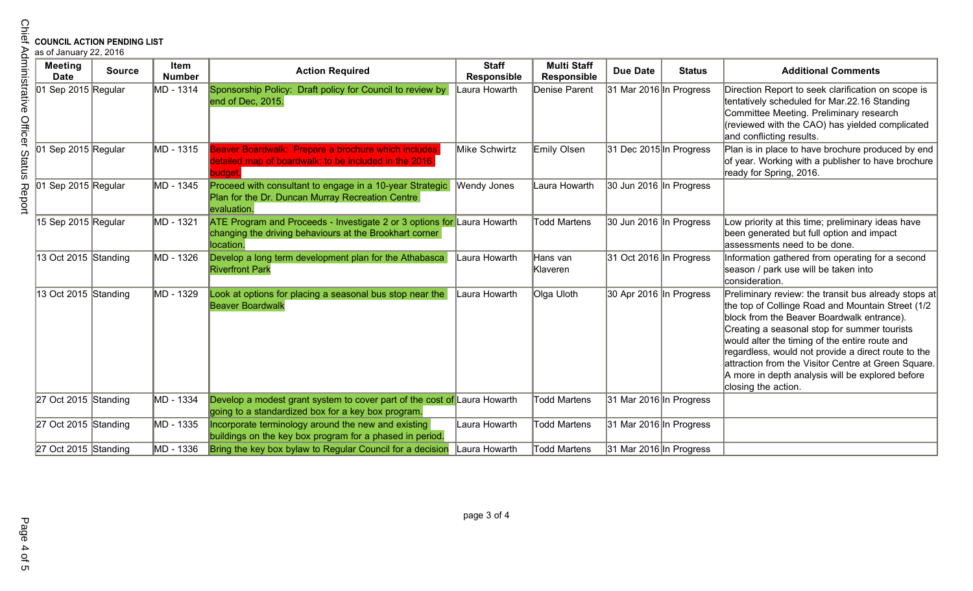| <b>COUNCIL ACTION PENDING LIST</b><br>as of January 22, 2016 |               |                       |                                                                                                                                                 |                                    |                                   |                         |               |                                                                                                                                                                                                                                                                                                                                                                                                                                                    |
|--------------------------------------------------------------|---------------|-----------------------|-------------------------------------------------------------------------------------------------------------------------------------------------|------------------------------------|-----------------------------------|-------------------------|---------------|----------------------------------------------------------------------------------------------------------------------------------------------------------------------------------------------------------------------------------------------------------------------------------------------------------------------------------------------------------------------------------------------------------------------------------------------------|
| <b>Meeting</b><br><b>Date</b>                                | <b>Source</b> | Item<br><b>Number</b> | <b>Action Required</b>                                                                                                                          | <b>Staff</b><br><b>Responsible</b> | <b>Multi Staff</b><br>Responsible | <b>Due Date</b>         | <b>Status</b> | <b>Additional Comments</b>                                                                                                                                                                                                                                                                                                                                                                                                                         |
| 01 Sep 2015 Regular                                          |               | MD - 1314             | Sponsorship Policy:<br>Draft policy for Council to review by<br>end of Dec, 2015.                                                               | aura Howarth                       | Denise Parent                     | 31 Mar 2016 In Progress |               | Direction Report to seek clarification on scope is<br>tentatively scheduled for Mar.22.16 Standing<br>Committee Meeting. Preliminary research<br>(reviewed with the CAO) has yielded complicated<br>and conflicting results.                                                                                                                                                                                                                       |
| $ 01$ Sep 2015 Regular                                       |               | MD - 1315             | Beaver Boardwalk: Prepare a brochure which includes<br>detailed map of boardwalk; to be included in the 2016<br>uidae                           | Mike Schwirtz                      | Emily Olsen                       | 31 Dec 2015 In Progress |               | Plan is in place to have brochure produced by end<br>of year. Working with a publisher to have brochure<br>ready for Spring, 2016.                                                                                                                                                                                                                                                                                                                 |
| $ 01$ Sep 2015 Regular                                       |               | MD - 1345             | Proceed with consultant to engage in a 10-year Strategic<br>Plan for the Dr. Duncan Murray Recreation Centre<br>evaluation.                     | <b>Wendy Jones</b>                 | Laura Howarth                     | 30 Jun 2016 In Progress |               |                                                                                                                                                                                                                                                                                                                                                                                                                                                    |
| 15 Sep 2015 Regular                                          |               | MD - 1321             | ATE Program and Proceeds - Investigate 2 or 3 options for Laura Howarth<br>changing the driving behaviours at the Brookhart corner<br>location. |                                    | <b>Todd Martens</b>               | 30 Jun 2016 In Progress |               | Low priority at this time; preliminary ideas have<br>been generated but full option and impact<br>assessments need to be done.                                                                                                                                                                                                                                                                                                                     |
| 13 Oct 2015 Standing                                         |               | MD - 1326             | Develop a long term development plan for the Athabasca<br><b>Riverfront Park</b>                                                                | Laura Howarth                      | Hans van<br>Klaveren              | 31 Oct 2016 In Progress |               | Information gathered from operating for a second<br>season / park use will be taken into<br>consideration.                                                                                                                                                                                                                                                                                                                                         |
| 13 Oct 2015 Standing                                         |               | MD - 1329             | Look at options for placing a seasonal bus stop near the<br><b>Beaver Boardwalk</b>                                                             | Laura Howarth                      | Olga Uloth                        | 30 Apr 2016 In Progress |               | Preliminary review: the transit bus already stops at<br>the top of Collinge Road and Mountain Street (1/2<br>block from the Beaver Boardwalk entrance).<br>Creating a seasonal stop for summer tourists<br>would alter the timing of the entire route and<br>regardless, would not provide a direct route to the<br>attraction from the Visitor Centre at Green Square.<br>A more in depth analysis will be explored before<br>closing the action. |
| 27 Oct 2015 Standing                                         |               | MD - 1334             | Develop a modest grant system to cover part of the cost of Laura Howarth<br>going to a standardized box for a key box program.                  |                                    | <b>Todd Martens</b>               | 31 Mar 2016 In Progress |               |                                                                                                                                                                                                                                                                                                                                                                                                                                                    |
| 27 Oct 2015 Standing                                         |               | MD - 1335             | Incorporate terminology around the new and existing<br>buildings on the key box program for a phased in period.                                 | Laura Howarth                      | <b>Todd Martens</b>               | 31 Mar 2016 In Progress |               |                                                                                                                                                                                                                                                                                                                                                                                                                                                    |
| 27 Oct 2015 Standing                                         |               | MD - 1336             | Bring the key box bylaw to Regular Council for a decision                                                                                       | Laura Howarth                      | <b>Todd Martens</b>               | 31 Mar 2016 In Progress |               |                                                                                                                                                                                                                                                                                                                                                                                                                                                    |